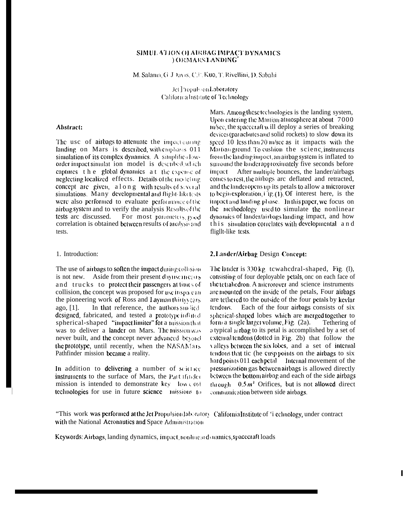### SIMUL 411ON OF AIRBAG IMPACT DYNAMICS ) ORMARS LANDING

M. Salama, G. J. Javis, C.F. Kuo, T. Rivellini, D. Sabahi

Jet] ropuls on Laboratory California Institute of Technology

#### Abstract:

The use of airbags to attenuate the impact curing landing on Mars is described with emphasis 011 simulation of its complex dynamics. A simplifical oworder impact simulat ion model is described, which captures the global dynamics at the expense of neglecting localized effects. Details of the model ing concept are given, along with results of several simulations. Many developmental and flight-liketests were also performed to evaluate performance of the airbag system and to verify the analysis Results of the tests arc discussed. For most parameters good correlation is obtained between results of analysis and tests.

### 1. Introduction:

The use of airbags to soften the impact during collision is not new. Aside from their present  $d$  and  $g$  in  $g$  and  $g$ and trucks to protect their passengers at times of collision, the concept was proposed for use in space in the pioneering work of Ross and Layman thirty years In that reference, the authors suched ago,  $[1]$ . designed, fabricated, and tested a prototype infinited spherical-shaped "impact limiter" for a mission that was to deliver a lander on Mars. The mission was never built, and the concept never advanced beyond the prototype, until recently, when the NASAMars Pathfinder mission became a reality.

In addition to delivering a number of science instruments to the surface of Mars, the Patt throken mission is intended to demonstrate key lowe ost technologies for use in future science missions to

Mars. Among these technologies is the landing system, Upon entering the Martian atmosphere at about 7000 m/sec, the spacecraft will deploy a series of breaking devices (parachutes and solid rockets) to slow down its speed 10 less than 20 m/sec as it impacts with the Martian ground. To cushion the scienc instruments from the landing impact, an airbag system is inflated to surround the lander approximately five seconds before After multiple bounces, the lander/airbags impact comes to rest, the airbags arc deflated and retracted, and the lander opens up its petals to allow a microrover to begin exploration,  $i$  ig. (1) Of interest here, is the impact and landing pl asc. In this paper, we focus on the methodology used to simulate the nonlinear dynamics of lander/airbags landing impact, and how this simulation correlates with developmental and fligllt-like tests.

## 2. Lander/Airbag Design Concept:

The lander is 330 kg tewahedral-shaped, Fig. (1), consisting of four deployable petals, one on each face of the tetrahedron. A microrover and science instruments are mounted on the justide of the petals, Four airbags are tethered to the outside of the four petals by kevlar Each of the four airbags consists of six tendons. spherical-shaped lobes which are merged together to form a single larger volume, Fig. (2a). Tethering of a typical airbag to its petal is accomplished by a set of external tendons (dotted in Fig. 2b) that follow the valleys between the six lobes, and a set of internal tendons that tic (he cusp points on the airbags to six hard points 011 each petal Internal movement of the pressurization gas between airbags is allowed directly between the bottom airbag and each of the side airbags through  $0.5 m<sup>2</sup>$  Orifices, but is not allowed direct conmunication between side airbags.

"This work was performed at the Jet Propulsion laboratory California Institute of 'i echnology, under contract with the National Aeronautics and Space Administration

Keywords: Airbags, landing dynamics, impact, nonlineards namics, spacecraft loads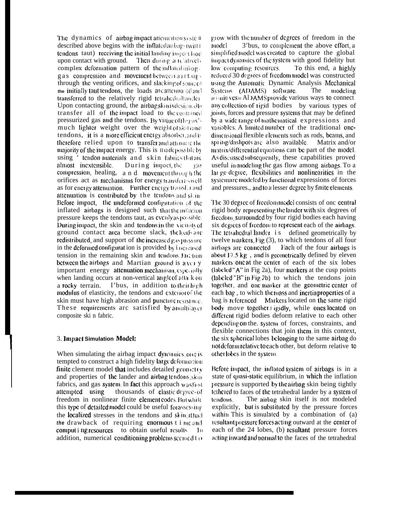The dynamics of airbag impact attenuation syste II described above begins with the inflated anbags (with tendons taut) receiving the initial landing impartional upon contact with ground. Then during a relatively complex deformation pattern of the inflated inbaggas compression and movement between ant bags through the venting orifices, and slacking of some of the initially taut tendons, the loads are attenuated and transferred to the relatively rigid tetrahedrallander Upon contacting ground, the airbag skinisdesign dto transfer all of the impact load to the contained pressurized gas and the tendons. By virtue of the gas's much lighter weight over the weight of skirmud tendons, it is a more efficient energy absorber, and is therefore relied upon to transfer and attenuate the majority of the impact energy. This is made possible by using 'tendon materials and skin fabrics that are almost inextensible. During impact, the  $X35$ compression, healing, a n d movement through the orifices act as mechanisms for energy transferes well as for energy attenuation. Further energy transfer and attenuation is contributed by the tendons and skin-Before impact, the undeformed configuration of the inflated airbags is designed such that the inflation pressure keeps the tendons taut, as evenly as possible. During impact, the skin and tendons in the vicinity of ground contact area become slack, the loads are redistributed, and support of the increased gas pressure in the deformed configuration is provided by increased tension in the remaining skin and tendons. In combetween the airbags and Martian ground is a very important energy attenuation mechanism especially when landing occurs at non-vertical angle of attack on a rocky terrain. I'bus, in addition to their high modulus of elasticity, the tendons and exteriorof the skin must have high abrasion and puncture resisting. These requirements are satisfied by annihilaver composite ski n fabric.

# 3. Impact Simulation Model:

When simulating the airbag impact dynamics one is tempted to construct a high fidelity large deformation finite clement model that includes detailed geometry and properties of the lander and airbag tendoms, skin fabrics, and gas system. In fact this approach was first attempted using thousands of clastic degrees of freedom in nonlinear finite element codes. But while this type of detailed model could be useful for assessing the localized stresses in the tendons and skin thad the drawback of requiring enormous t i me and comput i ng resources to obtain useful results ी।। addition, numerical conditioning problems seemed to grow with the number of degrees of freedom in the model 3'bus, to complement the above effort, a simplified model was created to capture the global impact dynamics of the system with good fidelity but low computing resources. To this end, a highly reduced 30 degrees of freedom model was constructed using the Automatic Dynamic Analysis Mechanical Systems (ADAMS) software. The modeling primitives in Al >AMS provide various ways to connect any collection of rigid bodies by various types of joints, forces and pressure systems that may be defined by a wide range of mathematical expressions and variables. A limited number of the traditional onedimensional flexible elements such as rods, beams, and spring/dashpots are also available. Matrix and/or matrix/differential equations can be part of the model. As discussed subsequently, these capabilities proved useful inmodeling the gas flow among airbags. To a large degree, flexibilities and nonlinearities in the systemare modeled by functional expressions of forces and pressures., and to a lesser degree by finite elements.

The 30 degree of freedom model consists of one central rigid body representing the lander with six degrees of freedom, surrounded by four rigid bodies each having six degrees of freedom to represent each of the airbags. The tetrahedral lander is defined geometrically by twelve markers, Fig  $(3)$ , to which tendons of all four airbags are connected Each of the four airbags is about 17.5 kg, and is geometrically defined by eleven markers one at the center of each of the six lobes (labeled "A" in Fig 2a), four markers at the cusp points (labeled "B" in Fig 2b) to which the tendons join together, and one marker at the geometric center of each bag, to which the mass and inertia properties of a bag is referenced Markers located on the same rigid body move together rigidly, while ones located on different rigid bodies deform relative to each other depending on the system of forces, constraints, and flexible connections that join them in this context, the six spherical lobes belonging to the same airbag do not deform relative to each other, but deform relative to other lobes in the system.

Before impact, the inflated system of airbags is in a state of quasi-static equilibrium, in which the inflation pressure is supported by the airbag skin being tightly tethered to faces of the tetrahedral lander by a system of The airbag skin itself is not modeled tendons. explicitly, but is substituted by the pressure forces within This is simulated by a combination of  $(a)$ resultant pressure forces acting outward at the center of each of the 24 lobes, (b) resultant pressure forces acting inward and normal to the faces of the tetrahedral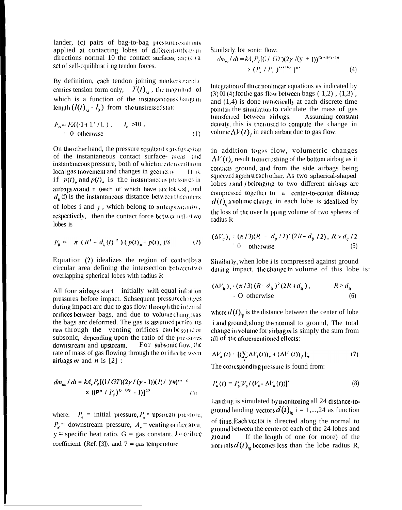lander, (c) pairs of bag-to-bag pressureresaltants applied at contacting lobes of different airbags in directions normal 10 the contact surfaces, and  $(i)$  a set of self-cquilibrat i ng tendon forces.

By definition, each tendon joining markers rands carries tension form only,  $\hat{T}(t)_{rs}$ , the magnitude of which is a function of the instantaneous changem length  $(l(t)_{\alpha} - l_0)$  from the unstressed state

$$
F_n = EA(-1+1, ' / 1, ) , \t I_n > 10 ,
$$
  
= 0 otherwise (1)

On the other hand, the pressure resultants and unction of the instantaneous contact surface- areas and instantaneous pressure, both of which are denved from local gas movement and changes in geometry. Thus, if  $p(t)$  and  $p(t)$ , is the instantaneous pressures in airbags m and n (each of which have six lot  $\times$  s), and  $d<sub>n</sub>$ (f) is the instantaneous distance between the conters of lobes i and j, which belong to an upg  $m \in \mathbb{R}^n$ , respectively, then the contact force betweenthedwo lobes is

$$
F_{\theta} = \pi (R^2 - d_y(t)^{-2}) (p(t)_{\theta} + p(t)_{\theta})/8 \qquad (2)
$$

Equation (2) idealizes the region of contact by a circular area defining the intersection between two overlapping spherical lobes with radius R

All four airbags start initially with equal inflation pressures before impact. Subsequent pressure changes during impact arc duc to gas flow through the internal orifices between bags, and due to volume changes as the bags arc deformed. The gas is assumed perfectus flow through the venting orifices can be some or subsonic, depending upon the ratio of the pressures downstream and upstream. For subsonic flow, the rate of mass of gas flowing through the ori fice between airbags *m* and *n* is [2] :

$$
dm_{\mathbf{m}} / dt = kA_{\mathbf{v}} P_{\mathbf{d}} [(1/GT)(2\gamma / (\gamma - 1))(P_{\mathbf{v}} / \gamma^* \mathbf{H})^m]^{\alpha}
$$
  
 
$$
\times ((\mathbf{P}^n / P_{\mathbf{d}})^{(y-1)/\gamma} - 1))^{0.5}
$$
 (3)

where:  $P_{\bullet}$  = initial pressure,  $P_{\bullet}$  = upstream pressure,  $P_4$  = downstream pressure,  $A_4$  = venting orifice area,  $y =$  specific heat ratio,  $G =$  gas constant,  $h = 0$  if  $ce$ coefficient (Ref. [3]), and  $7 = gas$  temperature

Similarly, for sonic flow:

$$
dm_{\text{av}}/dt = kA_{\text{v}}P_{\text{d}}[(1/\text{GT})(2\gamma/(y+1))^{(y+1)/(y-1))}
$$
  
×  $(P_{\text{v}}/P_{\text{0}})^{(y+1)/y}1^{0.5}$  (4)

Integration of three nonlinear equations as indicated by  $(3)$  01 (4) for the gas flow between bags  $(1,2)$ ,  $(1,3)$ , and  $(1,4)$  is done numerically at each discrete time point in the simulation to calculate the mass of gas transferred between airbags. Assuming constant density, this is then used to compute the change in volume  $\Delta V(t)$ , in each airbag duc to gas flow.

in addition to gas flow, volumetric changes  $\Delta V(t)$ , result from crushing of the bottom airbag as it contacts ground, and from the side airbags being squeezed against each other, As two spherical-shaped lobes i and j belonging to two different airbags are compressed together to a center-to-center distance  $d(t)$  avolume change in each lobe is idealized by the loss of the over la pping volume of two spheres of radius R<sup>.</sup>

$$
(\Delta V_y)_* = (n/3)(R - d_y/2)^2 (2R + d_y/2), R > d_y/2
$$
  
= 0 otherwise (5)

Similarly, when lobe *i* is compressed against ground during impact, the change in volume of this lobe is:

$$
(\Delta V_{\mathbf{u}}), \, : (\pi/3) (R - d_{\mathbf{u}})^2 (2R + d_{\mathbf{u}}), \qquad R > d_{\mathbf{u}}
$$
  
 
$$
= O \text{ otherwise} \qquad (6)
$$

where  $d(t)_{i}$  is the distance between the center of lobe i and ground, along the normal to ground, The total change in volume for airbag  $m$  is simply the sum from all of the aforementioned effects:

$$
\Delta V_{\star}(t) = [(\sum \Delta V_{i}(t))_{\star} + (\Delta V_{i}(t))_{j}]_{\star}
$$
 (7)

The corresponding pressure is found from:

$$
P_{\mathbf{a}}(t) = P_{0} [V_{0} / (V_{0} - \Delta V_{\mathbf{a}}(t))]^{r}
$$
\n(8)

Landing is simulated by monitoring all 24 distance-toground landing vectors  $d(t)_{i\alpha}$  i = 1,...,24 as function of time. Each vector is directed along the normal to ground between the center of each of the 24 lobes and ground If the length of one (or more) of the normals  $d(t)_{\alpha}$  becomes less than the lobe radius R,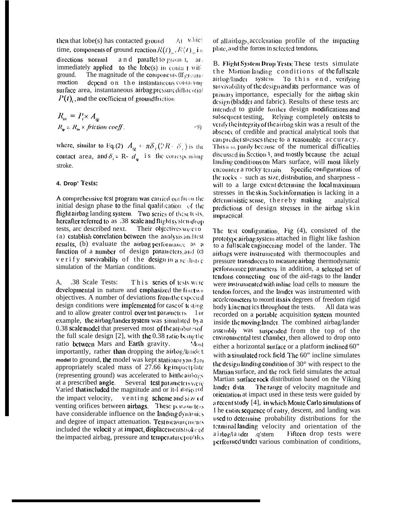then that lobe(s) has contacted ground - At which time, components of ground reaction  $R(t)_{\mu}$ ,  $K(t)_{\mu}$  in directions normal and parallel to groun I, and immediately applied to the  $lobe(s)$  in conta t with ground. The magnitude of the components (If  $g$ round reaction depend on the instantaneous contacting surface area, instantaneous airbag pressuredifficential  $P(t)$ , and the coefficient of ground friction

$$
R_{in} = P_i \times A_{ig}
$$
  
\n
$$
R_{ip} = R_{in} \times friction\,\,coeff.
$$

where, similar to Eq.(2)  $A_{ig} = \pi \delta_i (2R - \delta_i)$  is the contact area, and  $\delta_i$  = R-  $d_{i_0}$  is the corresponding stroke.

#### 4. Drop' Tests:

A comprehensive test program was carried out from the initial design phase to the final qualification of the flight airbag landing system. Two series of these tests, hereafter referred to as .38 scale and flightsystem drop tests, arc described next. Their objectives were to (a) establish correlation between the analysis and test results, (b) evaluate the airbag performance as a function of a number of design parameters, and (c) verify survivability of the design in a reslistor simulation of the Martian conditions.

A, .38 Scale Tests: This series of tests were developmental in nature and emphasized the first two objectives. A number of deviations from the expected design conditions were implemented for case of testing and to allow greater control over test parameters  $-1$  or example, the airbag/lander system was simulated by a 0.38 scale model that preserved most of the attubutes of the full scale design  $[2]$ , with the 0.38 ratio boughterratio between Mars and Earth gravity. Most importantly, rather than dropping the airbag/landet model to ground, the model was kept stationary and an appropriately scaled mass of 27.66 kg impactplate (representing ground) was accelerated to hittheairbays at a prescribed angle. Several test parameters were Varied that included the magnitude and or it-1 nation of the impact velocity, venting scheme and size of venting orifices between airbags. These parameters have considerable influence on the landing dynamics and degree of impact attenuation. Test measurements included the velocity at impact, displacements toke of the impacted airbag, pressure and temperature profiles

of all airbags, acceleration profile of the impacting plate, and the forces in selected tendons,

B. Flight System Drop Tests: These tests simulate the Martian landing conditions of the full scale airbag/lander system. To this end, verifying survivability of the design and its performance was of primary importance, especially for the airbag skin design (bladder and fabric). Results of these tests are intended to guide further design modifications and subsequent testing, Relying completely on tests to verify the integrity of the airbag skin was a result of the absence of credible and practical analytical tools that can predict stresses there to a reasonable accuracy. This is so, partly because of the numerical difficulties discussed in Section 3, and mostly because the actual landing conditions on Mars surface, will most likely encounter a rocky terrain. Specific configurations of the rocks - such as size, distribution, and sharpness will to a large extent determine the local maximum stresses in the skin Such information is lacking in a deterministic sense, thereby making analytical predictions of design stresses in the airbag skin impractical.

The test configuration. Fig (4), consisted of the prototype airbag system attached in flight like fashion to a full scale engineering model of the lander. The airbags were instrumented with thermocouples and pressure transducers to measure airbag thermodynamic performance parameters, in addition, a selected set of tendons connecting one of the aid-rags to the lander were instrumented with inline load cells to measure the tendon forces, and the lander was instrumented with accelerometers to record its six degrees of freedom rigid body kinematics throughout the tests. All data was recorded on a portable acquisition system mounted inside the moving lander. The combined airbag/lander assembly was suspended from the top of the environmental test chamber, then allowed to drop onto either a horizontal surface or a platform inclined 60" with a simulated rock field. The 60" incline simulates the design landing condition of  $30^{\circ}$  with respect to the Martian surface, and the rock field simulates the actual Martian surface rock distribution based on the Viking The range of velocity magnitude and lander data. orientation at impact used in these tests were guided by a recent study [4], in which Monte Carlo simulations of I he entire sequence of entry, descent, and landing was used to determine probability distributions for the terminal landing velocity and orientation of the a i rbag/l a nder .g'stern Fifteen drop tests were performed under various combination of conditions,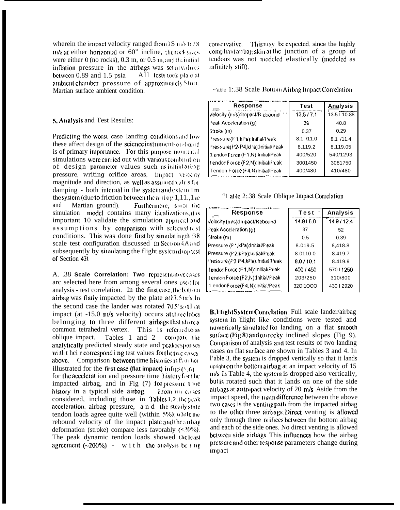wherein the impact velocity ranged from  $1S \text{ m/s} t_2$  28  $m/s$  at either horizontal or 60" incline, the rock sizes were either  $0$  (no rocks), 0.3 m, or 0.5 m, and the initial inflation pressure in the airbags was set at values between 0.89 and 1.5 psia All tests took pla e at ambient chamber pressure of approximately 5 tour. Martian surface ambient condition.

# 5. Analysis and Test Results:

Predicting the worst case landing conditions and how these affect design of the science instruments on-board is of primary importance. For this purpose numerical simulations were carried out with various combination of design parameter values such asimidation pressure, writing orifice areas, impact velocity magnitude and direction, as well as assumed valus for damping - both internal in the system and external m the system (clue to friction between the author 1,11.,1 ic and Martian ground). Furthermore, since the simulation model contains many idealizations, it is important 10 validate the simulation approachand assumptions by comparison with selected test conditions. This was done first by simulating the 38 scale test configuration discussed in Section 4A and subsequently by simulating the flight system drop test of Section 4B.

A. .38 Scale Correlation: Two representative cases arc selected here from among several ones used for analysis - test correlation. In the first case, the bottom airbag was flatly impacted by the plate  $a(13.5)w/s$ . the second case the lander was rotated 70.5's 1 Liat impact (at -15.0 m/s velocity) occurs at three looss belonging to three different airbags that shows common tetrahedral vertex. This is referred to as oblique impact. Tables 1 and 2 compate the analytically predicted steady state and peak responses with their correspond ing test values for the two cases above. Comparison between time histories is further illustrated for the first case (flat impact) in figs  $(5.6)$ for the accelerat ion and pressure time history for the impacted airbag, and in Fig (7) for pressure true history in a typical side airbag. From iii) cases considered, including those in Tables 1,2, the peak acceleration, airbag pressure, and the steady state tendon loads agree quite well (within 5%), while the rebound velocity of the impact plate and the aubag deformation (stroke) compare less favorably  $\left\langle \frac{20\%}{20\%}\right\rangle$ . The peak dynamic tendon loads showed the least agreement (~200%) - with the analysis beang

conservative. This may be expected, since the highly compliantairbag skin at the junction of a group of tendons was not modeled elastically (modeled as infinitely stift).

~'able 1:.38 Scale Bottom Airbag Impact Correlation

| Response                                        | Test       | <b>Analysis</b> |
|-------------------------------------------------|------------|-----------------|
| Velocity (nv/s):Impact/R ebound<br>$\epsilon =$ | 13.5/7.1   | 13.5   10.88    |
| Peak Acceleration (g)                           | 39         | 40.8            |
| Stroke (m)                                      | 0.37       | 0.29            |
| Pressure (P1,kPa):Initial/Peak                  | 8.1 / 11.0 | 8.1 / 11.4      |
| Pressure (P2-P4,kPa): Initial/Peak              | 8.119.2    | 8.119.05        |
| 1 endonForce (F1,N):Initial/Peak                | 400/520    | 540/1293        |
| Tendon Force (F2 N) Initial/Peak                | 3001450    | 3081750         |
| Tendon Force (F4,N) Initial/Peak                | 400/480    | 410/480         |

"1 able 2:.38 Scale Oblique Impact Correlation

| Response                             | Test      | <b>Analysis</b> |
|--------------------------------------|-----------|-----------------|
| Velocity (ni/s):Impact/Rebound       | 14.918.8  | 14.9 / 12.4     |
| Peak Acceleration (g)                | 37        | 52              |
| Stroke (m)                           | 0.5       | 0.39            |
| Pressure (P1,kFa):Initial/Peak       | 8.019.5   | 8.418.8         |
| Pressure (P2,kPa):Initial/Peak       | 8.0110.0  | 8.419.7         |
| Pressure (P3, P4, kPa): Initial/Peak | 8.0/10.1  | 8.419.9         |
| Tendon Force (F1,N):Initial/Freak    | 400 / 450 | 57011250        |
| 1 endon Force (F2,N): Initial/Freak  | 203/250   | 310/800         |
| 1 endon Force (F4, N): Initial/Freak | 32011000  | 430   2920      |

**B. Flight System Correlation:** Full scale lander/airbag system in flight like conditions were tested and numerically simulated for landing on a flat smooth surface (Fig 8) and on rocky inclined slopes (Fig 9). Comparison of analysis and test results of two landing cases on flat surface are shown in Tables 3 and 4. In l'able 3, the system is dropped vertically so that it lands upright on the bottom airbag at an impact velocity of 15 m/s. In Table 4, the system is dropped also vertically, but is rotated such that it lands on one of the side airbags at an impact velocity of 20  $m/s$ . Aside from the impact speed, the main difference between the above two cases is the venting path from the impacted airbag to the other three airbags Direct venting is allowed only through three orifices between the bottom airbag and each of the side ones. No direct venting is allowed between side airbags. This influences how the airbag pressure and other response parameters change during impact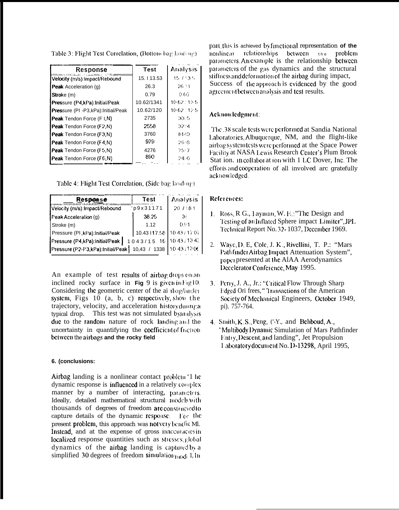| <b>Response</b>                    | Test       | Analysis     |
|------------------------------------|------------|--------------|
| Velocity (m/s): Impact/Rebound     | 15.113.53  | 15 7 13 5    |
| Peak Acceleration (q)              | 26.3       | $26 - 1$     |
| Stroke (m)                         | 0.79       | 0.65         |
| Pressure (P4,kPa):Initial/Peak     | 10.62/1341 | 10.62.13.5   |
| Pressure (PI -P3,kPa):Initial/Peak | 10.62/120  | 10.62 : 12.5 |
| <b>Peak</b> Tendon Force (F I N)   | 2735       | 30.G         |
| <b>Peak</b> Tendon Force (F2,N)    | 2558       | 3274         |
| Peak Tendon Force (F3,N)           | 3760       | 8149         |
| <b>Peak Tendon Force (F4.N)</b>    | 979        | 26.93        |
| <b>Peak</b> Tendon Force (F5.N)    | 4276       | 75.7         |
| Peak Tendon Force (F6,N)           | 890        | 24.6         |

Table 3: Flight Test Correlation, (Bottom bag landing)

Table 4: Flight Test Correlation, (Side bag landing)

| <b>Response</b>                                              |  | Test          | <b>Analysis</b> |
|--------------------------------------------------------------|--|---------------|-----------------|
| Velocity (m/s): Impact/Rebound                               |  | 'p9x31171     | 20 / 18 1       |
| Peak Acceleration (g)                                        |  | 38.25         | 3.              |
| Stroke (m)                                                   |  | 1.12          | 0.91            |
| Pressure (PI, kPa):Initial/Peak                              |  | 10.43   17.58 | 1043/170        |
| Pressure (P4,kPa):Initial/Peak  <br>$1043/15$ 16             |  | 10/43/13:43   |                 |
| Pressure (P2-P3,kPa):Initial/Peak 10,43 / 1338 10 43 / 13 06 |  |               |                 |

An example of test results of airbag drops on an inclined rocky surface in Fig  $9$  is given in Fig  $10$ . Considering the geometric center of the ai thag/tinder system, Figs 10 (a, b, c) respectively, show the trajectory, velocity, and acceleration history during a typical drop. This test was not simulated by analysis due to the random nature of rock landing and the uncertainty in quantifying the coefficient of friction between the airbags and the rocky field

## 6. (conclusions:

Airbag landing is a nonlinear contact problem '1 he dynamic response is influenced in a relatively complex manner by a number of interacting, parameters. Ideally, detailed mathematical structural models with thousands of degrees of freedom arc constructed to capture details of the dynamic response. For the present problem, this approach was not very benche Ml. Instead, and at the expense of gross inaccuracies in localized response quantities such as stresses global dynamics of the airbag landing is captured by a simplified 30 degrees of freedom simulation  $p_0$  (1, 1)

part this is achieved by functional representation of the nonlinear relationships between the problem parameters. An example is the relationship between parameters of the gas dynamics and the structural stiffness and deformation of the airbag during impact, Success of the approach is evidenced by the good agreement between analysis and test results.

# Acknowledgment:

The 38 scale tests were performed at Sandia National Laboratories. Albuquerque, NM, and the flight-like airbag system tests were performed at the Space Power Facility at NASA Lewis Research Center's Plum Brook Stat ion. in collaboration with 1 LC Dover, Inc. The efforts and cooperation of all involved arc gratefully acknowledged.

## References:

- 1. Ross, R G., Layman, W. E.: "The Design and Testing of au Inflated Sphere impact Limiter", JPL Technical Report No. 32-1037, December 1969.
- 2. Waye, D. E, Cole, J. K., Rivellini, T. P.: "Mars Pathfinder Airbag Impact Attenuation System", paper presented at the AIAA Aerodynamics Decelerator Conference, May 1995.
- 3. Perry, J. A., Jr.: "Critical Flow Through Sharp Edged Ori frees, "Transactions of the American Society of Mechanical Engineers, October 1949, pi). 757-764.
- 4. Smith, K. S., Peng, ('-Y., and Behboud, A., "Multibody Dynamic Simulation of Mars Pathfinder Entry, Descent, and landing", Jet Propulsion I aboratory document No. I > 13298, April 1995,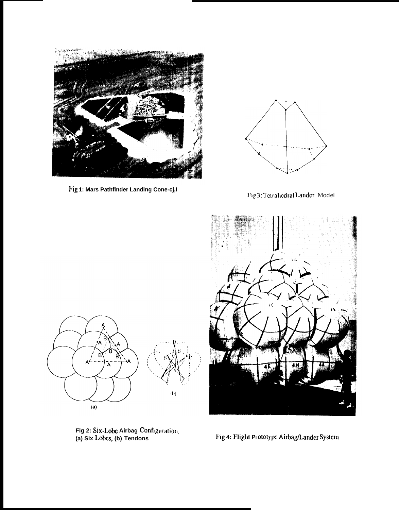

Fig 1: Mars Pathfinder Landing Cone-cj,l



Fig3:TetrahedralLander Model







Fig 4: Flight Prototype Airbag/Lander System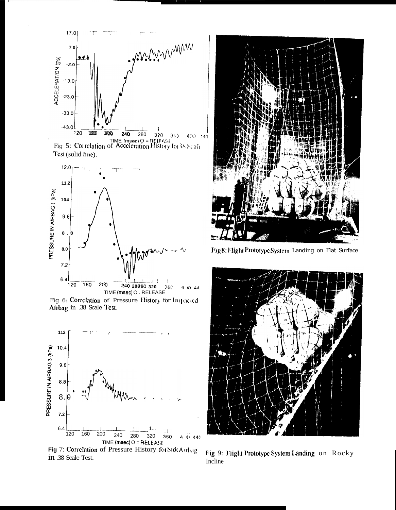

120 160 200 240 280 320 360 400 Test (solid line).



Fig 6: Correlation of Pressure History for Impacted Airbag in .38 Scale Test.



Fig 7: Correlation of Pressure History for SideAubag in .38 Scale Test.



Fig 8: Flight Prototype System Landing on Flat Surface



Fig 9: Flight Prototype System Landing on Rocky Incline